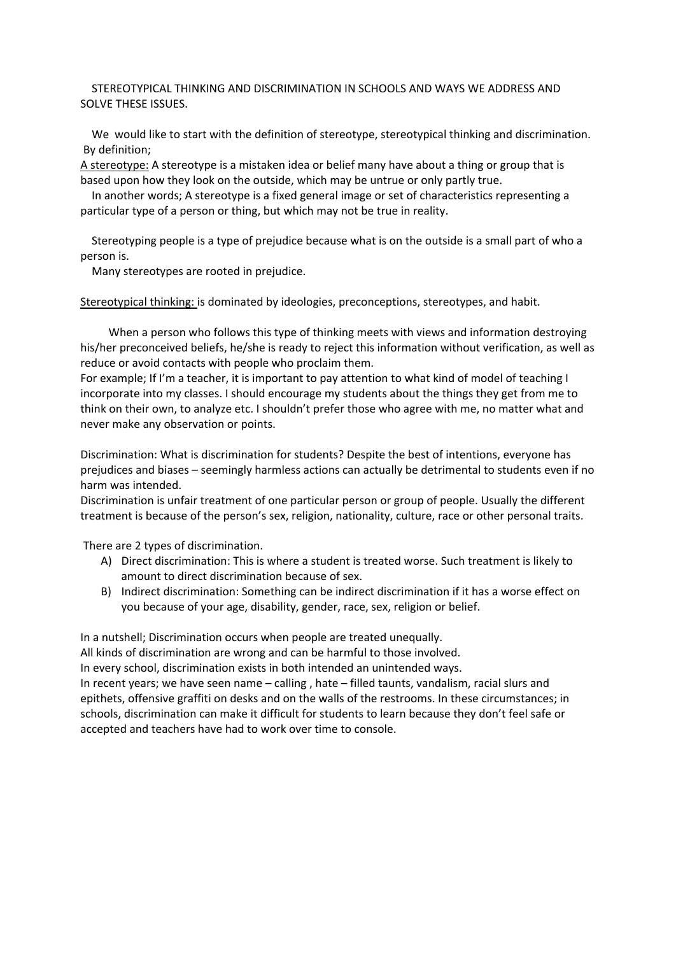### STEREOTYPICAL THINKING AND DISCRIMINATION IN SCHOOLS AND WAYS WE ADDRESS AND SOLVE THESE ISSUES.

 We would like to start with the definition of stereotype, stereotypical thinking and discrimination. By definition;

A stereotype: A stereotype is a mistaken idea or belief many have about a thing or group that is based upon how they look on the outside, which may be untrue or only partly true.

 In another words; A stereotype is a fixed general image or set of characteristics representing a particular type of a person or thing, but which may not be true in reality.

 Stereotyping people is a type of prejudice because what is on the outside is a small part of who a person is.

Many stereotypes are rooted in prejudice.

Stereotypical thinking: is dominated by ideologies, preconceptions, stereotypes, and habit.

 When a person who follows this type of thinking meets with views and information destroying his/her preconceived beliefs, he/she is ready to reject this information without verification, as well as reduce or avoid contacts with people who proclaim them.

For example; If I'm a teacher, it is important to pay attention to what kind of model of teaching I incorporate into my classes. I should encourage my students about the things they get from me to think on their own, to analyze etc. I shouldn't prefer those who agree with me, no matter what and never make any observation or points.

Discrimination: What is discrimination for students? Despite the best of intentions, everyone has prejudices and biases – seemingly harmless actions can actually be detrimental to students even if no harm was intended.

Discrimination is unfair treatment of one particular person or group of people. Usually the different treatment is because of the person's sex, religion, nationality, culture, race or other personal traits.

There are 2 types of discrimination.

- A) Direct discrimination: This is where a student is treated worse. Such treatment is likely to amount to direct discrimination because of sex.
- B) Indirect discrimination: Something can be indirect discrimination if it has a worse effect on you because of your age, disability, gender, race, sex, religion or belief.

In a nutshell; Discrimination occurs when people are treated unequally.

All kinds of discrimination are wrong and can be harmful to those involved.

In every school, discrimination exists in both intended an unintended ways.

In recent years; we have seen name – calling , hate – filled taunts, vandalism, racial slurs and epithets, offensive graffiti on desks and on the walls of the restrooms. In these circumstances; in schools, discrimination can make it difficult for students to learn because they don't feel safe or accepted and teachers have had to work over time to console.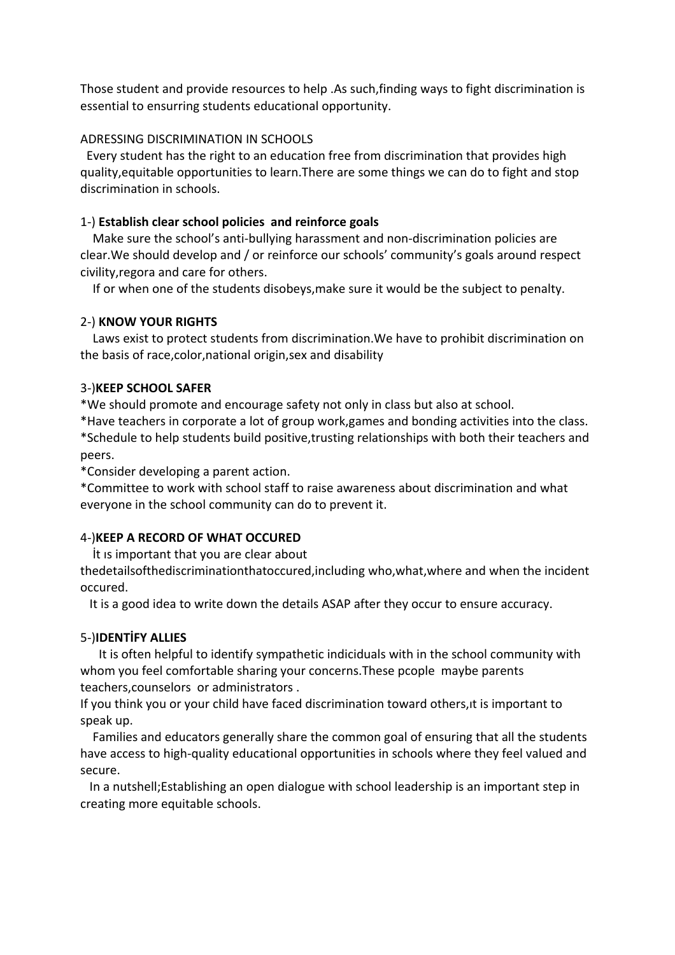Those student and provide resources to help .As such,finding ways to fight discrimination is essential to ensurring students educational opportunity.

# ADRESSING DISCRIMINATION IN SCHOOLS

 Every student has the right to an education free from discrimination that provides high quality,equitable opportunities to learn.There are some things we can do to fight and stop discrimination in schools.

## 1-) **Establish clear school policies and reinforce goals**

 Make sure the school's anti-bullying harassment and non-discrimination policies are clear.We should develop and / or reinforce our schools' community's goals around respect civility,regora and care for others.

If or when one of the students disobeys,make sure it would be the subject to penalty.

## 2-) **KNOW YOUR RIGHTS**

 Laws exist to protect students from discrimination.We have to prohibit discrimination on the basis of race,color,national origin,sex and disability

## 3-)**KEEP SCHOOL SAFER**

\*We should promote and encourage safety not only in class but also at school.

\*Have teachers in corporate a lot of group work,games and bonding activities into the class. \*Schedule to help students build positive,trusting relationships with both their teachers and peers.

\*Consider developing a parent action.

\*Committee to work with school staff to raise awareness about discrimination and what everyone in the school community can do to prevent it.

# 4-)**KEEP A RECORD OF WHAT OCCURED**

İt ıs important that you are clear about

thedetailsofthediscriminationthatoccured,including who,what,where and when the incident occured.

It is a good idea to write down the details ASAP after they occur to ensure accuracy.

# 5-)**IDENTİFY ALLIES**

 It is often helpful to identify sympathetic indiciduals with in the school community with whom you feel comfortable sharing your concerns.These pcople maybe parents teachers,counselors or administrators .

If you think you or your child have faced discrimination toward others,ıt is important to speak up.

 Families and educators generally share the common goal of ensuring that all the students have access to high-quality educational opportunities in schools where they feel valued and secure.

 In a nutshell;Establishing an open dialogue with school leadership is an important step in creating more equitable schools.